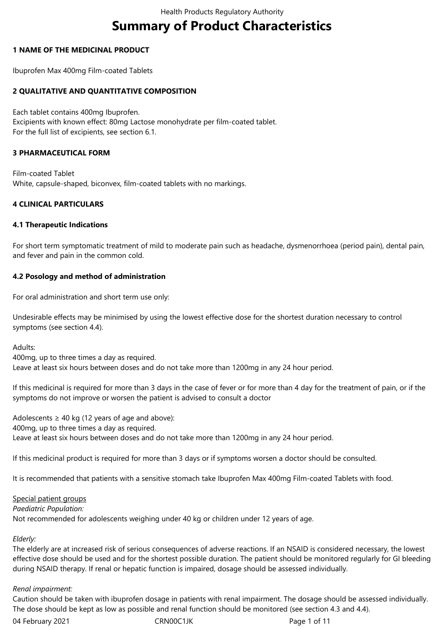# **Summary of Product Characteristics**

## **1 NAME OF THE MEDICINAL PRODUCT**

Ibuprofen Max 400mg Film-coated Tablets

## **2 QUALITATIVE AND QUANTITATIVE COMPOSITION**

Each tablet contains 400mg Ibuprofen. Excipients with known effect: 80mg Lactose monohydrate per film-coated tablet. For the full list of excipients, see section 6.1.

## **3 PHARMACEUTICAL FORM**

Film-coated Tablet White, capsule-shaped, biconvex, film-coated tablets with no markings.

## **4 CLINICAL PARTICULARS**

## **4.1 Therapeutic Indications**

For short term symptomatic treatment of mild to moderate pain such as headache, dysmenorrhoea (period pain), dental pain, and fever and pain in the common cold.

## **4.2 Posology and method of administration**

For oral administration and short term use only:

Undesirable effects may be minimised by using the lowest effective dose for the shortest duration necessary to control symptoms (see section 4.4).

Adults:

400mg, up to three times a day as required. Leave at least six hours between doses and do not take more than 1200mg in any 24 hour period.

If this medicinal is required for more than 3 days in the case of fever or for more than 4 day for the treatment of pain, or if the symptoms do not improve or worsen the patient is advised to consult a doctor

Adolescents  $\geq 40$  kg (12 years of age and above): 400mg, up to three times a day as required. Leave at least six hours between doses and do not take more than 1200mg in any 24 hour period.

If this medicinal product is required for more than 3 days or if symptoms worsen a doctor should be consulted.

It is recommended that patients with a sensitive stomach take Ibuprofen Max 400mg Film-coated Tablets with food.

#### Special patient groups

#### *Paediatric Population:*

Not recommended for adolescents weighing under 40 kg or children under 12 years of age.

## *Elderly:*

The elderly are at increased risk of serious consequences of adverse reactions. If an NSAID is considered necessary, the lowest effective dose should be used and for the shortest possible duration. The patient should be monitored regularly for GI bleeding during NSAID therapy. If renal or hepatic function is impaired, dosage should be assessed individually.

## *Renal impairment:*

Caution should be taken with ibuprofen dosage in patients with renal impairment. The dosage should be assessed individually. The dose should be kept as low as possible and renal function should be monitored (see section 4.3 and 4.4).

04 February 2021 **CRNOOC1JK** CRNOOC1JK Page 1 of 11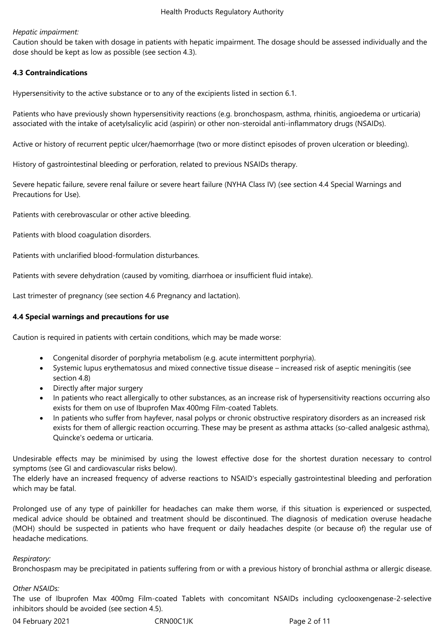## *Hepatic impairment:*

Caution should be taken with dosage in patients with hepatic impairment. The dosage should be assessed individually and the dose should be kept as low as possible (see section 4.3).

## **4.3 Contraindications**

Hypersensitivity to the active substance or to any of the excipients listed in section 6.1.

Patients who have previously shown hypersensitivity reactions (e.g. bronchospasm, asthma, rhinitis, angioedema or urticaria) associated with the intake of acetylsalicylic acid (aspirin) or other non-steroidal anti-inflammatory drugs (NSAIDs).

Active or history of recurrent peptic ulcer/haemorrhage (two or more distinct episodes of proven ulceration or bleeding).

History of gastrointestinal bleeding or perforation, related to previous NSAIDs therapy.

Severe hepatic failure, severe renal failure or severe heart failure (NYHA Class IV) (see section 4.4 Special Warnings and Precautions for Use).

Patients with cerebrovascular or other active bleeding.

Patients with blood coagulation disorders.

Patients with unclarified blood-formulation disturbances.

Patients with severe dehydration (caused by vomiting, diarrhoea or insufficient fluid intake).

Last trimester of pregnancy (see section 4.6 Pregnancy and lactation).

## **4.4 Special warnings and precautions for use**

Caution is required in patients with certain conditions, which may be made worse:

- Congenital disorder of porphyria metabolism (e.g. acute intermittent porphyria).
- Systemic lupus erythematosus and mixed connective tissue disease increased risk of aseptic meningitis (see section 4.8)
- Directly after major surgery
- In patients who react allergically to other substances, as an increase risk of hypersensitivity reactions occurring also exists for them on use of Ibuprofen Max 400mg Film-coated Tablets.
- In patients who suffer from hayfever, nasal polyps or chronic obstructive respiratory disorders as an increased risk exists for them of allergic reaction occurring. These may be present as asthma attacks (so-called analgesic asthma), Quincke's oedema or urticaria.

Undesirable effects may be minimised by using the lowest effective dose for the shortest duration necessary to control symptoms (see GI and cardiovascular risks below).

The elderly have an increased frequency of adverse reactions to NSAID's especially gastrointestinal bleeding and perforation which may be fatal.

Prolonged use of any type of painkiller for headaches can make them worse, if this situation is experienced or suspected, medical advice should be obtained and treatment should be discontinued. The diagnosis of medication overuse headache (MOH) should be suspected in patients who have frequent or daily headaches despite (or because of) the regular use of headache medications.

## *Respiratory:*

Bronchospasm may be precipitated in patients suffering from or with a previous history of bronchial asthma or allergic disease.

## *Other NSAIDs:*

The use of Ibuprofen Max 400mg Film-coated Tablets with concomitant NSAIDs including cyclooxengenase-2-selective inhibitors should be avoided (see section 4.5).

04 February 2021 **CRN00C1JK** CRNOOC1JK Page 2 of 11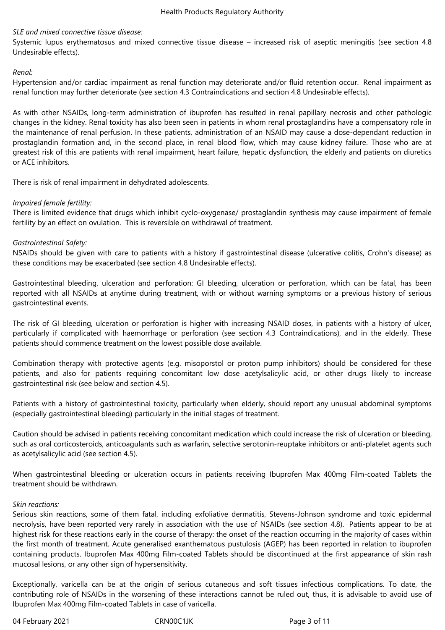## *SLE and mixed connective tissue disease:*

Systemic lupus erythematosus and mixed connective tissue disease – increased risk of aseptic meningitis (see section 4.8 Undesirable effects).

## *Renal:*

Hypertension and/or cardiac impairment as renal function may deteriorate and/or fluid retention occur. Renal impairment as renal function may further deteriorate (see section 4.3 Contraindications and section 4.8 Undesirable effects).

As with other NSAIDs, long-term administration of ibuprofen has resulted in renal papillary necrosis and other pathologic changes in the kidney. Renal toxicity has also been seen in patients in whom renal prostaglandins have a compensatory role in the maintenance of renal perfusion. In these patients, administration of an NSAID may cause a dose-dependant reduction in prostaglandin formation and, in the second place, in renal blood flow, which may cause kidney failure. Those who are at greatest risk of this are patients with renal impairment, heart failure, hepatic dysfunction, the elderly and patients on diuretics or ACE inhibitors.

There is risk of renal impairment in dehydrated adolescents.

## *Impaired female fertility:*

There is limited evidence that drugs which inhibit cyclo-oxygenase/ prostaglandin synthesis may cause impairment of female fertility by an effect on ovulation. This is reversible on withdrawal of treatment.

## *Gastrointestinal Safety:*

NSAIDs should be given with care to patients with a history if gastrointestinal disease (ulcerative colitis, Crohn's disease) as these conditions may be exacerbated (see section 4.8 Undesirable effects).

Gastrointestinal bleeding, ulceration and perforation: GI bleeding, ulceration or perforation, which can be fatal, has been reported with all NSAIDs at anytime during treatment, with or without warning symptoms or a previous history of serious gastrointestinal events.

The risk of GI bleeding, ulceration or perforation is higher with increasing NSAID doses, in patients with a history of ulcer, particularly if complicated with haemorrhage or perforation (see section 4.3 Contraindications), and in the elderly. These patients should commence treatment on the lowest possible dose available.

Combination therapy with protective agents (e.g. misoporstol or proton pump inhibitors) should be considered for these patients, and also for patients requiring concomitant low dose acetylsalicylic acid, or other drugs likely to increase gastrointestinal risk (see below and section 4.5).

Patients with a history of gastrointestinal toxicity, particularly when elderly, should report any unusual abdominal symptoms (especially gastrointestinal bleeding) particularly in the initial stages of treatment.

Caution should be advised in patients receiving concomitant medication which could increase the risk of ulceration or bleeding, such as oral corticosteroids, anticoagulants such as warfarin, selective serotonin-reuptake inhibitors or anti-platelet agents such as acetylsalicylic acid (see section 4.5).

When gastrointestinal bleeding or ulceration occurs in patients receiving Ibuprofen Max 400mg Film-coated Tablets the treatment should be withdrawn.

## *Skin reactions:*

Serious skin reactions, some of them fatal, including exfoliative dermatitis, Stevens-Johnson syndrome and toxic epidermal necrolysis, have been reported very rarely in association with the use of NSAIDs (see section 4.8). Patients appear to be at highest risk for these reactions early in the course of therapy: the onset of the reaction occurring in the majority of cases within the first month of treatment. Acute generalised exanthematous pustulosis (AGEP) has been reported in relation to ibuprofen containing products. Ibuprofen Max 400mg Film-coated Tablets should be discontinued at the first appearance of skin rash mucosal lesions, or any other sign of hypersensitivity.

Exceptionally, varicella can be at the origin of serious cutaneous and soft tissues infectious complications. To date, the contributing role of NSAIDs in the worsening of these interactions cannot be ruled out, thus, it is advisable to avoid use of Ibuprofen Max 400mg Film-coated Tablets in case of varicella.

04 February 2021 **CRN00C1JK** CRNOOC1JK Page 3 of 11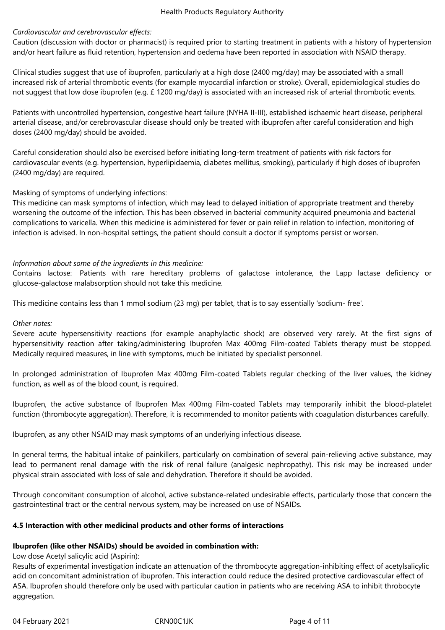## *Cardiovascular and cerebrovascular effects:*

Caution (discussion with doctor or pharmacist) is required prior to starting treatment in patients with a history of hypertension and/or heart failure as fluid retention, hypertension and oedema have been reported in association with NSAID therapy.

Clinical studies suggest that use of ibuprofen, particularly at a high dose (2400 mg/day) may be associated with a small increased risk of arterial thrombotic events (for example myocardial infarction or stroke). Overall, epidemiological studies do not suggest that low dose ibuprofen (e.g. £ 1200 mg/day) is associated with an increased risk of arterial thrombotic events.

Patients with uncontrolled hypertension, congestive heart failure (NYHA II-III), established ischaemic heart disease, peripheral arterial disease, and/or cerebrovascular disease should only be treated with ibuprofen after careful consideration and high doses (2400 mg/day) should be avoided.

Careful consideration should also be exercised before initiating long-term treatment of patients with risk factors for cardiovascular events (e.g. hypertension, hyperlipidaemia, diabetes mellitus, smoking), particularly if high doses of ibuprofen (2400 mg/day) are required.

## Masking of symptoms of underlying infections:

This medicine can mask symptoms of infection, which may lead to delayed initiation of appropriate treatment and thereby worsening the outcome of the infection. This has been observed in bacterial community acquired pneumonia and bacterial complications to varicella. When this medicine is administered for fever or pain relief in relation to infection, monitoring of infection is advised. In non-hospital settings, the patient should consult a doctor if symptoms persist or worsen.

## *Information about some of the ingredients in this medicine:*

Contains lactose: Patients with rare hereditary problems of galactose intolerance, the Lapp lactase deficiency or glucose-galactose malabsorption should not take this medicine.

This medicine contains less than 1 mmol sodium (23 mg) per tablet, that is to say essentially 'sodium- free'.

## *Other notes:*

Severe acute hypersensitivity reactions (for example anaphylactic shock) are observed very rarely. At the first signs of hypersensitivity reaction after taking/administering Ibuprofen Max 400mg Film-coated Tablets therapy must be stopped. Medically required measures, in line with symptoms, much be initiated by specialist personnel.

In prolonged administration of Ibuprofen Max 400mg Film-coated Tablets regular checking of the liver values, the kidney function, as well as of the blood count, is required.

Ibuprofen, the active substance of Ibuprofen Max 400mg Film-coated Tablets may temporarily inhibit the blood-platelet function (thrombocyte aggregation). Therefore, it is recommended to monitor patients with coagulation disturbances carefully.

Ibuprofen, as any other NSAID may mask symptoms of an underlying infectious disease.

In general terms, the habitual intake of painkillers, particularly on combination of several pain-relieving active substance, may lead to permanent renal damage with the risk of renal failure (analgesic nephropathy). This risk may be increased under physical strain associated with loss of sale and dehydration. Therefore it should be avoided.

Through concomitant consumption of alcohol, active substance-related undesirable effects, particularly those that concern the gastrointestinal tract or the central nervous system, may be increased on use of NSAIDs.

## **4.5 Interaction with other medicinal products and other forms of interactions**

## **Ibuprofen (like other NSAIDs) should be avoided in combination with:**

## Low dose Acetyl salicylic acid (Aspirin):

Results of experimental investigation indicate an attenuation of the thrombocyte aggregation-inhibiting effect of acetylsalicylic acid on concomitant administration of ibuprofen. This interaction could reduce the desired protective cardiovascular effect of ASA. Ibuprofen should therefore only be used with particular caution in patients who are receiving ASA to inhibit throbocyte aggregation.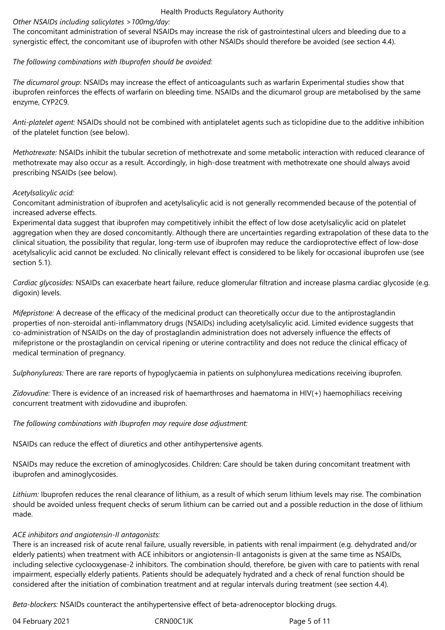## *Other NSAIDs including salicylates >100mg/day:*

The concomitant administration of several NSAIDs may increase the risk of gastrointestinal ulcers and bleeding due to a synergistic effect, the concomitant use of ibuprofen with other NSAIDs should therefore be avoided (see section 4.4).

## *The following combinations with Ibuprofen should be avoided:*

*The dicumarol group*: NSAIDs may increase the effect of anticoagulants such as warfarin Experimental studies show that ibuprofen reinforces the effects of warfarin on bleeding time. NSAIDs and the dicumarol group are metabolised by the same enzyme, CYP2C9.

*Anti-platelet agent:* NSAIDs should not be combined with antiplatelet agents such as ticlopidine due to the additive inhibition of the platelet function (see below).

*Methotrexate:* NSAIDs inhibit the tubular secretion of methotrexate and some metabolic interaction with reduced clearance of methotrexate may also occur as a result. Accordingly, in high-dose treatment with methotrexate one should always avoid prescribing NSAIDs (see below).

## *Acetylsalicylic acid:*

Concomitant administration of ibuprofen and acetylsalicylic acid is not generally recommended because of the potential of increased adverse effects.

Experimental data suggest that ibuprofen may competitively inhibit the effect of low dose acetylsalicylic acid on platelet aggregation when they are dosed concomitantly. Although there are uncertainties regarding extrapolation of these data to the clinical situation, the possibility that regular, long-term use of ibuprofen may reduce the cardioprotective effect of low-dose acetylsalicylic acid cannot be excluded. No clinically relevant effect is considered to be likely for occasional ibuprofen use (see section 5.1).

*Cardiac glycosides:* NSAIDs can exacerbate heart failure, reduce glomerular filtration and increase plasma cardiac glycoside (e.g. digoxin) levels.

*Mifepristone:* A decrease of the efficacy of the medicinal product can theoretically occur due to the antiprostaglandin properties of non-steroidal anti-inflammatory drugs (NSAIDs) including acetylsalicylic acid. Limited evidence suggests that co-administration of NSAIDs on the day of prostaglandin administration does not adversely influence the effects of mifepristone or the prostaglandin on cervical ripening or uterine contractility and does not reduce the clinical efficacy of medical termination of pregnancy.

*Sulphonylureas:* There are rare reports of hypoglycaemia in patients on sulphonylurea medications receiving ibuprofen.

*Zidovudine:* There is evidence of an increased risk of haemarthroses and haematoma in HIV(+) haemophiliacs receiving concurrent treatment with zidovudine and ibuprofen.

*The following combinations with Ibuprofen may require dose adjustment:*

NSAIDs can reduce the effect of diuretics and other antihypertensive agents.

NSAIDs may reduce the excretion of aminoglycosides. Children: Care should be taken during concomitant treatment with ibuprofen and aminoglycosides.

*Lithium:* Ibuprofen reduces the renal clearance of lithium, as a result of which serum lithium levels may rise. The combination should be avoided unless frequent checks of serum lithium can be carried out and a possible reduction in the dose of lithium made.

## *ACE inhibitors and angiotensin-II antagonists:*

There is an increased risk of acute renal failure, usually reversible, in patients with renal impairment (e.g. dehydrated and/or elderly patients) when treatment with ACE inhibitors or angiotensin-II antagonists is given at the same time as NSAIDs, including selective cyclooxygenase-2 inhibitors. The combination should, therefore, be given with care to patients with renal impairment, especially elderly patients. Patients should be adequately hydrated and a check of renal function should be considered after the initiation of combination treatment and at regular intervals during treatment (see section 4.4).

*Beta-blockers:* NSAIDs counteract the antihypertensive effect of beta-adrenoceptor blocking drugs.

04 February 2021 **CRN00C1JK** CRNOOC1JK Page 5 of 11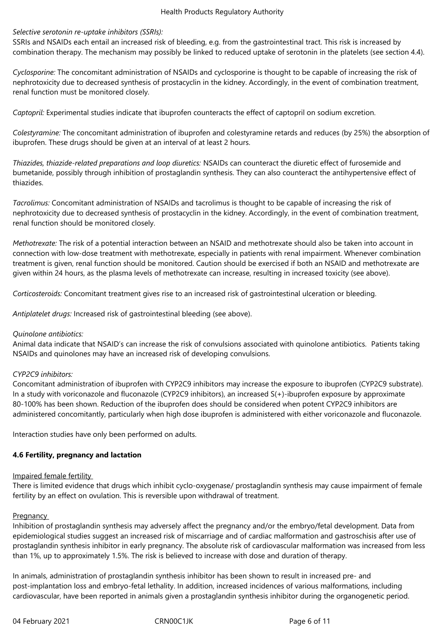## *Selective serotonin re-uptake inhibitors (SSRIs):*

SSRIs and NSAIDs each entail an increased risk of bleeding, e.g. from the gastrointestinal tract. This risk is increased by combination therapy. The mechanism may possibly be linked to reduced uptake of serotonin in the platelets (see section 4.4).

*Cyclosporine:* The concomitant administration of NSAIDs and cyclosporine is thought to be capable of increasing the risk of nephrotoxicity due to decreased synthesis of prostacyclin in the kidney. Accordingly, in the event of combination treatment, renal function must be monitored closely.

*Captopril:* Experimental studies indicate that ibuprofen counteracts the effect of captopril on sodium excretion.

*Colestyramine:* The concomitant administration of ibuprofen and colestyramine retards and reduces (by 25%) the absorption of ibuprofen. These drugs should be given at an interval of at least 2 hours.

*Thiazides, thiazide-related preparations and loop diuretics:* NSAIDs can counteract the diuretic effect of furosemide and bumetanide, possibly through inhibition of prostaglandin synthesis. They can also counteract the antihypertensive effect of thiazides.

*Tacrolimus:* Concomitant administration of NSAIDs and tacrolimus is thought to be capable of increasing the risk of nephrotoxicity due to decreased synthesis of prostacyclin in the kidney. Accordingly, in the event of combination treatment, renal function should be monitored closely.

*Methotrexate:* The risk of a potential interaction between an NSAID and methotrexate should also be taken into account in connection with low-dose treatment with methotrexate, especially in patients with renal impairment. Whenever combination treatment is given, renal function should be monitored. Caution should be exercised if both an NSAID and methotrexate are given within 24 hours, as the plasma levels of methotrexate can increase, resulting in increased toxicity (see above).

*Corticosteroids:* Concomitant treatment gives rise to an increased risk of gastrointestinal ulceration or bleeding.

*Antiplatelet drugs:* Increased risk of gastrointestinal bleeding (see above).

## *Quinolone antibiotics:*

Animal data indicate that NSAID's can increase the risk of convulsions associated with quinolone antibiotics. Patients taking NSAIDs and quinolones may have an increased risk of developing convulsions.

## *CYP2C9 inhibitors:*

Concomitant administration of ibuprofen with CYP2C9 inhibitors may increase the exposure to ibuprofen (CYP2C9 substrate). In a study with voriconazole and fluconazole (CYP2C9 inhibitors), an increased S(+)-ibuprofen exposure by approximate 80-100% has been shown. Reduction of the ibuprofen does should be considered when potent CYP2C9 inhibitors are administered concomitantly, particularly when high dose ibuprofen is administered with either voriconazole and fluconazole.

Interaction studies have only been performed on adults.

## **4.6 Fertility, pregnancy and lactation**

## Impaired female fertility

There is limited evidence that drugs which inhibit cyclo-oxygenase/ prostaglandin synthesis may cause impairment of female fertility by an effect on ovulation. This is reversible upon withdrawal of treatment.

## **Pregnancy**

Inhibition of prostaglandin synthesis may adversely affect the pregnancy and/or the embryo/fetal development. Data from epidemiological studies suggest an increased risk of miscarriage and of cardiac malformation and gastroschisis after use of prostaglandin synthesis inhibitor in early pregnancy. The absolute risk of cardiovascular malformation was increased from less than 1%, up to approximately 1.5%. The risk is believed to increase with dose and duration of therapy.

In animals, administration of prostaglandin synthesis inhibitor has been shown to result in increased pre- and post-implantation loss and embryo-fetal lethality. In addition, increased incidences of various malformations, including cardiovascular, have been reported in animals given a prostaglandin synthesis inhibitor during the organogenetic period.

04 February 2021 **CRN00C1JK** CRNOOC1JK Page 6 of 11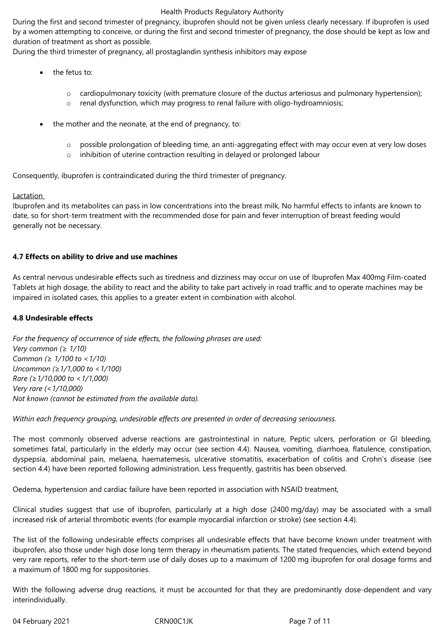During the first and second trimester of pregnancy, ibuprofen should not be given unless clearly necessary. If ibuprofen is used by a women attempting to conceive, or during the first and second trimester of pregnancy, the dose should be kept as low and duration of treatment as short as possible.

During the third trimester of pregnancy, all prostaglandin synthesis inhibitors may expose

- the fetus to:
	- o cardiopulmonary toxicity (with premature closure of the ductus arteriosus and pulmonary hypertension);
	- o renal dysfunction, which may progress to renal failure with oligo-hydroamniosis;
- the mother and the neonate, at the end of pregnancy, to:
	- o possible prolongation of bleeding time, an anti-aggregating effect with may occur even at very low doses
	- o inhibition of uterine contraction resulting in delayed or prolonged labour

Consequently, ibuprofen is contraindicated during the third trimester of pregnancy.

## **Lactation**

Ibuprofen and its metabolites can pass in low concentrations into the breast milk, No harmful effects to infants are known to date, so for short-term treatment with the recommended dose for pain and fever interruption of breast feeding would generally not be necessary.

## **4.7 Effects on ability to drive and use machines**

As central nervous undesirable effects such as tiredness and dizziness may occur on use of Ibuprofen Max 400mg Film-coated Tablets at high dosage, the ability to react and the ability to take part actively in road traffic and to operate machines may be impaired in isolated cases, this applies to a greater extent in combination with alcohol.

## **4.8 Undesirable effects**

*For the frequency of occurrence of side effects, the following phrases are used: Very common (≥ 1/10) Common (≥ 1/100 to <1/10) Uncommon (≥1/1,000 to <1/100) Rare (≥1/10,000 to <1/1,000) Very rare (<1/10,000) Not known (cannot be estimated from the available data).*

*Within each frequency grouping, undesirable effects are presented in order of decreasing seriousness.*

The most commonly observed adverse reactions are gastrointestinal in nature, Peptic ulcers, perforation or GI bleeding, sometimes fatal, particularly in the elderly may occur (see section 4.4). Nausea, vomiting, diarrhoea, flatulence, constipation, dyspepsia, abdominal pain, melaena, haematemesis, ulcerative stomatitis, exacerbation of colitis and Crohn's disease (see section 4.4) have been reported following administration. Less frequently, gastritis has been observed.

Oedema, hypertension and cardiac failure have been reported in association with NSAID treatment,

Clinical studies suggest that use of ibuprofen, particularly at a high dose (2400 mg/day) may be associated with a small increased risk of arterial thrombotic events (for example myocardial infarction or stroke) (see section 4.4).

The list of the following undesirable effects comprises all undesirable effects that have become known under treatment with ibuprofen, also those under high dose long term therapy in rheumatism patients. The stated frequencies, which extend beyond very rare reports, refer to the short-term use of daily doses up to a maximum of 1200 mg ibuprofen for oral dosage forms and a maximum of 1800 mg for suppositories.

With the following adverse drug reactions, it must be accounted for that they are predominantly dose-dependent and vary interindividually.

04 February 2021 **CRNOOC1JK** CRNOOC1JK Page 7 of 11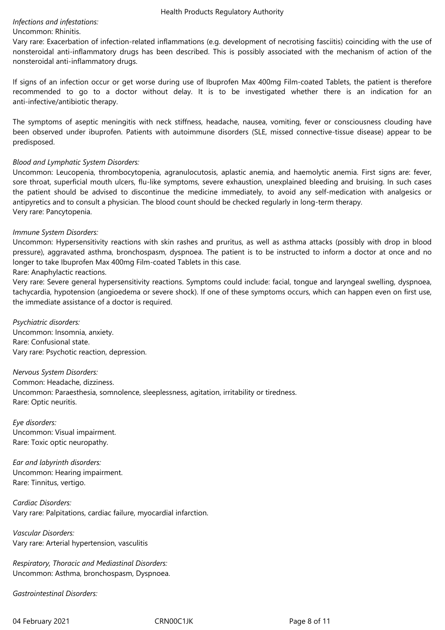## *Infections and infestations:*

## Uncommon: Rhinitis.

Vary rare: Exacerbation of infection-related inflammations (e.g. development of necrotising fasciitis) coinciding with the use of nonsteroidal anti-inflammatory drugs has been described. This is possibly associated with the mechanism of action of the nonsteroidal anti-inflammatory drugs.

If signs of an infection occur or get worse during use of Ibuprofen Max 400mg Film-coated Tablets, the patient is therefore recommended to go to a doctor without delay. It is to be investigated whether there is an indication for an anti-infective/antibiotic therapy.

The symptoms of aseptic meningitis with neck stiffness, headache, nausea, vomiting, fever or consciousness clouding have been observed under ibuprofen. Patients with autoimmune disorders (SLE, missed connective-tissue disease) appear to be predisposed.

## *Blood and Lymphatic System Disorders:*

Uncommon: Leucopenia, thrombocytopenia, agranulocutosis, aplastic anemia, and haemolytic anemia. First signs are: fever, sore throat, superficial mouth ulcers, flu-like symptoms, severe exhaustion, unexplained bleeding and bruising. In such cases the patient should be advised to discontinue the medicine immediately, to avoid any self-medication with analgesics or antipyretics and to consult a physician. The blood count should be checked regularly in long-term therapy. Very rare: Pancytopenia.

## *Immune System Disorders:*

Uncommon: Hypersensitivity reactions with skin rashes and pruritus, as well as asthma attacks (possibly with drop in blood pressure), aggravated asthma, bronchospasm, dyspnoea. The patient is to be instructed to inform a doctor at once and no longer to take Ibuprofen Max 400mg Film-coated Tablets in this case.

## Rare: Anaphylactic reactions.

Very rare: Severe general hypersensitivity reactions. Symptoms could include: facial, tongue and laryngeal swelling, dyspnoea, tachycardia, hypotension (angioedema or severe shock). If one of these symptoms occurs, which can happen even on first use, the immediate assistance of a doctor is required.

*Psychiatric disorders:* Uncommon: Insomnia, anxiety. Rare: Confusional state. Vary rare: Psychotic reaction, depression.

*Nervous System Disorders:* Common: Headache, dizziness. Uncommon: Paraesthesia, somnolence, sleeplessness, agitation, irritability or tiredness. Rare: Optic neuritis.

*Eye disorders:* Uncommon: Visual impairment. Rare: Toxic optic neuropathy.

*Ear and labyrinth disorders:* Uncommon: Hearing impairment. Rare: Tinnitus, vertigo.

*Cardiac Disorders:* Vary rare: Palpitations, cardiac failure, myocardial infarction.

*Vascular Disorders:* Vary rare: Arterial hypertension, vasculitis

*Respiratory, Thoracic and Mediastinal Disorders:* Uncommon: Asthma, bronchospasm, Dyspnoea.

*Gastrointestinal Disorders:*

04 February 2021 **CRN00C1JK** CRNOOC1JK Page 8 of 11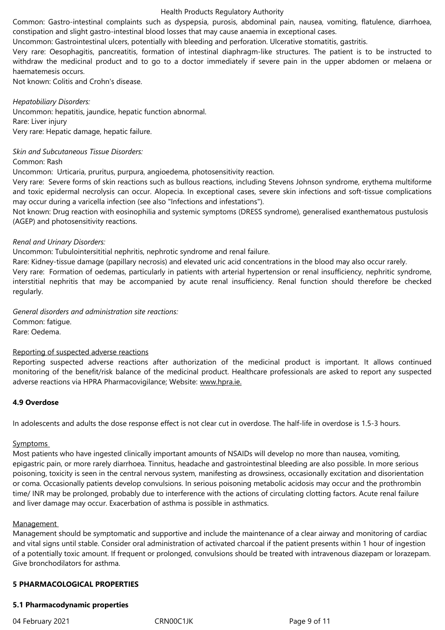Common: Gastro-intestinal complaints such as dyspepsia, purosis, abdominal pain, nausea, vomiting, flatulence, diarrhoea, constipation and slight gastro-intestinal blood losses that may cause anaemia in exceptional cases.

Uncommon: Gastrointestinal ulcers, potentially with bleeding and perforation. Ulcerative stomatitis, gastritis.

Very rare: Oesophagitis, pancreatitis, formation of intestinal diaphragm-like structures. The patient is to be instructed to withdraw the medicinal product and to go to a doctor immediately if severe pain in the upper abdomen or melaena or haematemesis occurs.

Not known: Colitis and Crohn's disease.

## *Hepatobiliary Disorders:*

Uncommon: hepatitis, jaundice, hepatic function abnormal. Rare: Liver injury

Very rare: Hepatic damage, hepatic failure.

## *Skin and Subcutaneous Tissue Disorders:*

Common: Rash

Uncommon: Urticaria, pruritus, purpura, angioedema, photosensitivity reaction.

Very rare: Severe forms of skin reactions such as bullous reactions, including Stevens Johnson syndrome, erythema multiforme and toxic epidermal necrolysis can occur. Alopecia. In exceptional cases, severe skin infections and soft-tissue complications may occur during a varicella infection (see also "Infections and infestations").

Not known: Drug reaction with eosinophilia and systemic symptoms (DRESS syndrome), generalised exanthematous pustulosis (AGEP) and photosensitivity reactions.

## *Renal and Urinary Disorders:*

Uncommon: Tubulointersititial nephritis, nephrotic syndrome and renal failure.

Rare: Kidney-tissue damage (papillary necrosis) and elevated uric acid concentrations in the blood may also occur rarely. Very rare: Formation of oedemas, particularly in patients with arterial hypertension or renal insufficiency, nephritic syndrome, interstitial nephritis that may be accompanied by acute renal insufficiency. Renal function should therefore be checked regularly.

*General disorders and administration site reactions:* Common: fatigue. Rare: Oedema.

## Reporting of suspected adverse reactions

Reporting suspected adverse reactions after authorization of the medicinal product is important. It allows continued monitoring of the benefit/risk balance of the medicinal product. Healthcare professionals are asked to report any suspected adverse reactions via HPRA Pharmacovigilance; Website: www.hpra.ie.

## **4.9 Overdose**

In adolescents and adults the dose response effect is not clear cut in overdose. The half-life in overdose is 1.5-3 hours.

## Symptoms

Most patients who have ingested clinically important amounts of NSAIDs will develop no more than nausea, vomiting, epigastric pain, or more rarely diarrhoea. Tinnitus, headache and gastrointestinal bleeding are also possible. In more serious poisoning, toxicity is seen in the central nervous system, manifesting as drowsiness, occasionally excitation and disorientation or coma. Occasionally patients develop convulsions. In serious poisoning metabolic acidosis may occur and the prothrombin time/ INR may be prolonged, probably due to interference with the actions of circulating clotting factors. Acute renal failure and liver damage may occur. Exacerbation of asthma is possible in asthmatics.

## Management

Management should be symptomatic and supportive and include the maintenance of a clear airway and monitoring of cardiac and vital signs until stable. Consider oral administration of activated charcoal if the patient presents within 1 hour of ingestion of a potentially toxic amount. If frequent or prolonged, convulsions should be treated with intravenous diazepam or lorazepam. Give bronchodilators for asthma.

## **5 PHARMACOLOGICAL PROPERTIES**

## **5.1 Pharmacodynamic properties**

04 February 2021 **CRN00C1JK** CRNOOC1JK Page 9 of 11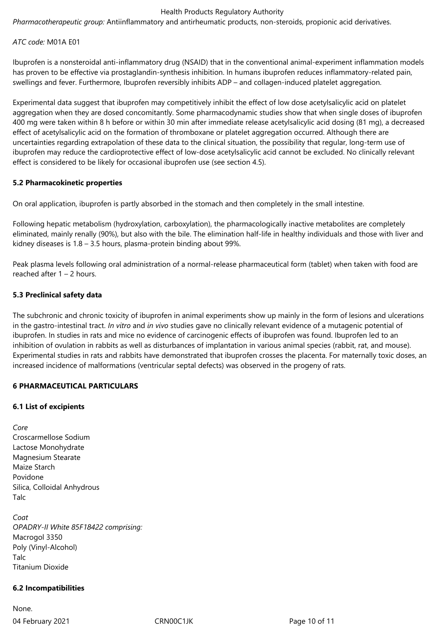*Pharmacotherapeutic group:* Antiinflammatory and antirheumatic products, non-steroids, propionic acid derivatives.

*ATC code:* M01A E01

Ibuprofen is a nonsteroidal anti-inflammatory drug (NSAID) that in the conventional animal-experiment inflammation models has proven to be effective via prostaglandin-synthesis inhibition. In humans ibuprofen reduces inflammatory-related pain, swellings and fever. Furthermore, Ibuprofen reversibly inhibits ADP – and collagen-induced platelet aggregation.

Experimental data suggest that ibuprofen may competitively inhibit the effect of low dose acetylsalicylic acid on platelet aggregation when they are dosed concomitantly. Some pharmacodynamic studies show that when single doses of ibuprofen 400 mg were taken within 8 h before or within 30 min after immediate release acetylsalicylic acid dosing (81 mg), a decreased effect of acetylsalicylic acid on the formation of thromboxane or platelet aggregation occurred. Although there are uncertainties regarding extrapolation of these data to the clinical situation, the possibility that regular, long-term use of ibuprofen may reduce the cardioprotective effect of low-dose acetylsalicylic acid cannot be excluded. No clinically relevant effect is considered to be likely for occasional ibuprofen use (see section 4.5).

## **5.2 Pharmacokinetic properties**

On oral application, ibuprofen is partly absorbed in the stomach and then completely in the small intestine.

Following hepatic metabolism (hydroxylation, carboxylation), the pharmacologically inactive metabolites are completely eliminated, mainly renally (90%), but also with the bile. The elimination half-life in healthy individuals and those with liver and kidney diseases is 1.8 – 3.5 hours, plasma-protein binding about 99%.

Peak plasma levels following oral administration of a normal-release pharmaceutical form (tablet) when taken with food are reached after 1 – 2 hours.

## **5.3 Preclinical safety data**

The subchronic and chronic toxicity of ibuprofen in animal experiments show up mainly in the form of lesions and ulcerations in the gastro-intestinal tract. *In vitro* and *in vivo* studies gave no clinically relevant evidence of a mutagenic potential of ibuprofen. In studies in rats and mice no evidence of carcinogenic effects of ibuprofen was found. Ibuprofen led to an inhibition of ovulation in rabbits as well as disturbances of implantation in various animal species (rabbit, rat, and mouse). Experimental studies in rats and rabbits have demonstrated that ibuprofen crosses the placenta. For maternally toxic doses, an increased incidence of malformations (ventricular septal defects) was observed in the progeny of rats.

## **6 PHARMACEUTICAL PARTICULARS**

## **6.1 List of excipients**

*Core*  Croscarmellose Sodium Lactose Monohydrate Magnesium Stearate Maize Starch Povidone Silica, Colloidal Anhydrous Talc

*Coat OPADRY-II White 85F18422 comprising:*  Macrogol 3350 Poly (Vinyl-Alcohol) Talc Titanium Dioxide

## **6.2 Incompatibilities**

04 February 2021 CRN00C1JK Page 10 of 11 None.